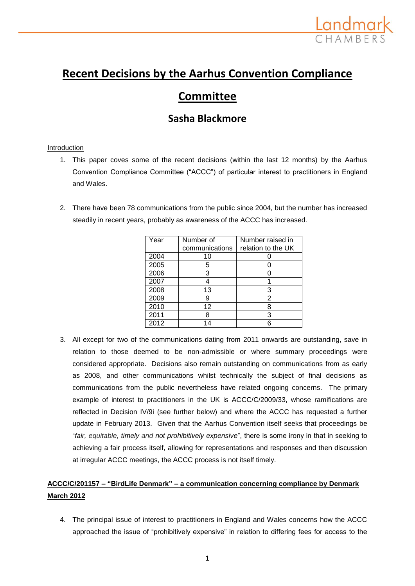

# **Recent Decisions by the Aarhus Convention Compliance**

# **Committee**

## **Sasha Blackmore**

#### **Introduction**

- 1. This paper coves some of the recent decisions (within the last 12 months) by the Aarhus Convention Compliance Committee ("ACCC") of particular interest to practitioners in England and Wales.
- 2. There have been 78 communications from the public since 2004, but the number has increased steadily in recent years, probably as awareness of the ACCC has increased.

| Year | Number of      | Number raised in   |
|------|----------------|--------------------|
|      | communications | relation to the UK |
| 2004 | 10             |                    |
| 2005 | 5              |                    |
| 2006 | 3              |                    |
| 2007 | 4              |                    |
| 2008 | 13             | 3                  |
| 2009 | 9              | 2                  |
| 2010 | 12             | 8                  |
| 2011 | 8              | 3                  |
| 2012 | lΔ             |                    |

3. All except for two of the communications dating from 2011 onwards are outstanding, save in relation to those deemed to be non-admissible or where summary proceedings were considered appropriate. Decisions also remain outstanding on communications from as early as 2008, and other communications whilst technically the subject of final decisions as communications from the public nevertheless have related ongoing concerns. The primary example of interest to practitioners in the UK is ACCC/C/2009/33, whose ramifications are reflected in Decision IV/9i (see further below) and where the ACCC has requested a further update in February 2013. Given that the Aarhus Convention itself seeks that proceedings be "*fair, equitable, timely and not prohibitively expensive*", there is some irony in that in seeking to achieving a fair process itself, allowing for representations and responses and then discussion at irregular ACCC meetings, the ACCC process is not itself timely.

### **ACCC/C/201157 – "BirdLife Denmark" – a communication concerning compliance by Denmark March 2012**

4. The principal issue of interest to practitioners in England and Wales concerns how the ACCC approached the issue of "prohibitively expensive" in relation to differing fees for access to the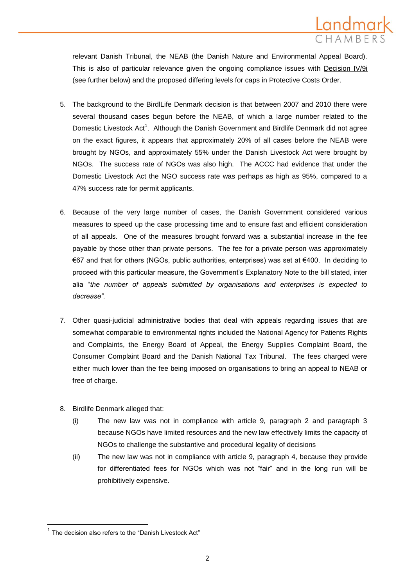

relevant Danish Tribunal, the NEAB (the Danish Nature and Environmental Appeal Board). This is also of particular relevance given the ongoing compliance issues with Decision IV/9i (see further below) and the proposed differing levels for caps in Protective Costs Order.

- 5. The background to the BirdlLife Denmark decision is that between 2007 and 2010 there were several thousand cases begun before the NEAB, of which a large number related to the Domestic Livestock Act<sup>1</sup>. Although the Danish Government and Birdlife Denmark did not agree on the exact figures, it appears that approximately 20% of all cases before the NEAB were brought by NGOs, and approximately 55% under the Danish Livestock Act were brought by NGOs. The success rate of NGOs was also high. The ACCC had evidence that under the Domestic Livestock Act the NGO success rate was perhaps as high as 95%, compared to a 47% success rate for permit applicants.
- 6. Because of the very large number of cases, the Danish Government considered various measures to speed up the case processing time and to ensure fast and efficient consideration of all appeals. One of the measures brought forward was a substantial increase in the fee payable by those other than private persons. The fee for a private person was approximately €67 and that for others (NGOs, public authorities, enterprises) was set at €400. In deciding to proceed with this particular measure, the Government's Explanatory Note to the bill stated, inter alia "*the number of appeals submitted by organisations and enterprises is expected to decrease".*
- 7. Other quasi-judicial administrative bodies that deal with appeals regarding issues that are somewhat comparable to environmental rights included the National Agency for Patients Rights and Complaints, the Energy Board of Appeal, the Energy Supplies Complaint Board, the Consumer Complaint Board and the Danish National Tax Tribunal. The fees charged were either much lower than the fee being imposed on organisations to bring an appeal to NEAB or free of charge.
- 8. Birdlife Denmark alleged that:
	- (i) The new law was not in compliance with article 9, paragraph 2 and paragraph 3 because NGOs have limited resources and the new law effectively limits the capacity of NGOs to challenge the substantive and procedural legality of decisions
	- (ii) The new law was not in compliance with article 9, paragraph 4, because they provide for differentiated fees for NGOs which was not "fair" and in the long run will be prohibitively expensive.

 $\overline{\phantom{a}}$ 

 $1$  The decision also refers to the "Danish Livestock Act"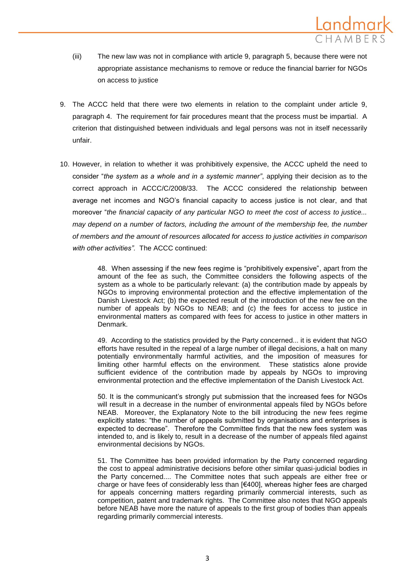

- (iii) The new law was not in compliance with article 9, paragraph 5, because there were not appropriate assistance mechanisms to remove or reduce the financial barrier for NGOs on access to justice
- 9. The ACCC held that there were two elements in relation to the complaint under article 9, paragraph 4. The requirement for fair procedures meant that the process must be impartial. A criterion that distinguished between individuals and legal persons was not in itself necessarily unfair.
- 10. However, in relation to whether it was prohibitively expensive, the ACCC upheld the need to consider "*the system as a whole and in a systemic manner"*, applying their decision as to the correct approach in ACCC/C/2008/33. The ACCC considered the relationship between average net incomes and NGO's financial capacity to access justice is not clear, and that moreover "*the financial capacity of any particular NGO to meet the cost of access to justice... may depend on a number of factors, including the amount of the membership fee, the number of members and the amount of resources allocated for access to justice activities in comparison with other activities".* The ACCC continued:

48. When assessing if the new fees regime is "prohibitively expensive", apart from the amount of the fee as such, the Committee considers the following aspects of the system as a whole to be particularly relevant: (a) the contribution made by appeals by NGOs to improving environmental protection and the effective implementation of the Danish Livestock Act; (b) the expected result of the introduction of the new fee on the number of appeals by NGOs to NEAB; and (c) the fees for access to justice in environmental matters as compared with fees for access to justice in other matters in Denmark.

49. According to the statistics provided by the Party concerned... it is evident that NGO efforts have resulted in the repeal of a large number of illegal decisions, a halt on many potentially environmentally harmful activities, and the imposition of measures for limiting other harmful effects on the environment. These statistics alone provide sufficient evidence of the contribution made by appeals by NGOs to improving environmental protection and the effective implementation of the Danish Livestock Act.

50. It is the communicant's strongly put submission that the increased fees for NGOs will result in a decrease in the number of environmental appeals filed by NGOs before NEAB. Moreover, the Explanatory Note to the bill introducing the new fees regime explicitly states: "the number of appeals submitted by organisations and enterprises is expected to decrease". Therefore the Committee finds that the new fees system was intended to, and is likely to, result in a decrease of the number of appeals filed against environmental decisions by NGOs.

51. The Committee has been provided information by the Party concerned regarding the cost to appeal administrative decisions before other similar quasi-judicial bodies in the Party concerned.... The Committee notes that such appeals are either free or charge or have fees of considerably less than [€400], whereas higher fees are charged for appeals concerning matters regarding primarily commercial interests, such as competition, patent and trademark rights. The Committee also notes that NGO appeals before NEAB have more the nature of appeals to the first group of bodies than appeals regarding primarily commercial interests.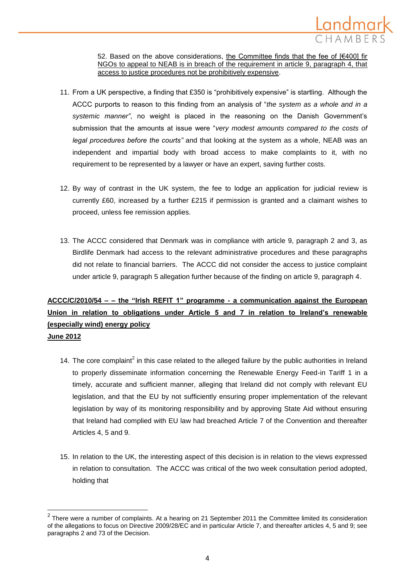

52. Based on the above considerations, the Committee finds that the fee of [€400] fir NGOs to appeal to NEAB is in breach of the requirement in article 9, paragraph 4, that access to justice procedures not be prohibitively expensive.

- 11. From a UK perspective, a finding that £350 is "prohibitively expensive" is startling. Although the ACCC purports to reason to this finding from an analysis of "*the system as a whole and in a systemic manner"*, no weight is placed in the reasoning on the Danish Government's submission that the amounts at issue were "*very modest amounts compared to the costs of legal procedures before the courts"* and that looking at the system as a whole, NEAB was an independent and impartial body with broad access to make complaints to it, with no requirement to be represented by a lawyer or have an expert, saving further costs.
- 12. By way of contrast in the UK system, the fee to lodge an application for judicial review is currently £60, increased by a further £215 if permission is granted and a claimant wishes to proceed, unless fee remission applies.
- 13. The ACCC considered that Denmark was in compliance with article 9, paragraph 2 and 3, as Birdlife Denmark had access to the relevant administrative procedures and these paragraphs did not relate to financial barriers. The ACCC did not consider the access to justice complaint under article 9, paragraph 5 allegation further because of the finding on article 9, paragraph 4.

## **ACCC/C/2010/54 – – the "Irish REFIT 1" programme - a communication against the European Union in relation to obligations under Article 5 and 7 in relation to Ireland's renewable (especially wind) energy policy June 2012**

- 14. The core complaint<sup>2</sup> in this case related to the alleged failure by the public authorities in Ireland to properly disseminate information concerning the Renewable Energy Feed-in Tariff 1 in a timely, accurate and sufficient manner, alleging that Ireland did not comply with relevant EU legislation, and that the EU by not sufficiently ensuring proper implementation of the relevant legislation by way of its monitoring responsibility and by approving State Aid without ensuring that Ireland had complied with EU law had breached Article 7 of the Convention and thereafter Articles 4, 5 and 9.
- 15. In relation to the UK, the interesting aspect of this decision is in relation to the views expressed in relation to consultation. The ACCC was critical of the two week consultation period adopted, holding that

l

 $2$  There were a number of complaints. At a hearing on 21 September 2011 the Committee limited its consideration of the allegations to focus on Directive 2009/28/EC and in particular Article 7, and thereafter articles 4, 5 and 9; see paragraphs 2 and 73 of the Decision.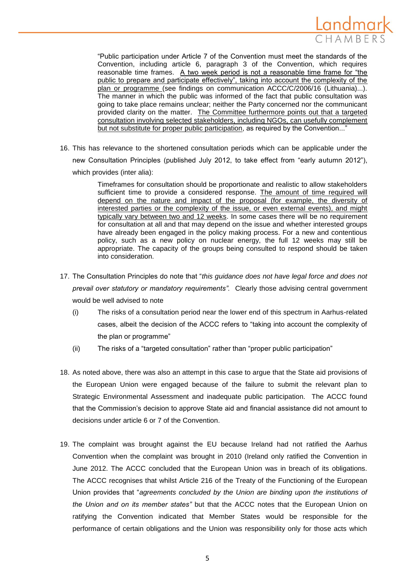

"Public participation under Article 7 of the Convention must meet the standards of the Convention, including article 6, paragraph 3 of the Convention, which requires reasonable time frames. A two week period is not a reasonable time frame for "the public to prepare and participate effectively", taking into account the complexity of the plan or programme (see findings on communication ACCC/C/2006/16 (Lithuania)...). The manner in which the public was informed of the fact that public consultation was going to take place remains unclear; neither the Party concerned nor the communicant provided clarity on the matter. The Committee furthermore points out that a targeted consultation involving selected stakeholders, including NGOs, can usefully complement but not substitute for proper public participation, as required by the Convention..."

16. This has relevance to the shortened consultation periods which can be applicable under the new Consultation Principles (published July 2012, to take effect from "early autumn 2012"), which provides (inter alia):

> Timeframes for consultation should be proportionate and realistic to allow stakeholders sufficient time to provide a considered response. The amount of time required will depend on the nature and impact of the proposal (for example, the diversity of interested parties or the complexity of the issue, or even external events), and might typically vary between two and 12 weeks. In some cases there will be no requirement for consultation at all and that may depend on the issue and whether interested groups have already been engaged in the policy making process. For a new and contentious policy, such as a new policy on nuclear energy, the full 12 weeks may still be appropriate. The capacity of the groups being consulted to respond should be taken into consideration.

- 17. The Consultation Principles do note that "*this guidance does not have legal force and does not prevail over statutory or mandatory requirements".* Clearly those advising central government would be well advised to note
	- (i) The risks of a consultation period near the lower end of this spectrum in Aarhus-related cases, albeit the decision of the ACCC refers to "taking into account the complexity of the plan or programme"
	- (ii) The risks of a "targeted consultation" rather than "proper public participation"
- 18. As noted above, there was also an attempt in this case to argue that the State aid provisions of the European Union were engaged because of the failure to submit the relevant plan to Strategic Environmental Assessment and inadequate public participation. The ACCC found that the Commission's decision to approve State aid and financial assistance did not amount to decisions under article 6 or 7 of the Convention.
- 19. The complaint was brought against the EU because Ireland had not ratified the Aarhus Convention when the complaint was brought in 2010 (Ireland only ratified the Convention in June 2012. The ACCC concluded that the European Union was in breach of its obligations. The ACCC recognises that whilst Article 216 of the Treaty of the Functioning of the European Union provides that "*agreements concluded by the Union are binding upon the institutions of the Union and on its member states"* but that the ACCC notes that the European Union on ratifying the Convention indicated that Member States would be responsible for the performance of certain obligations and the Union was responsibility only for those acts which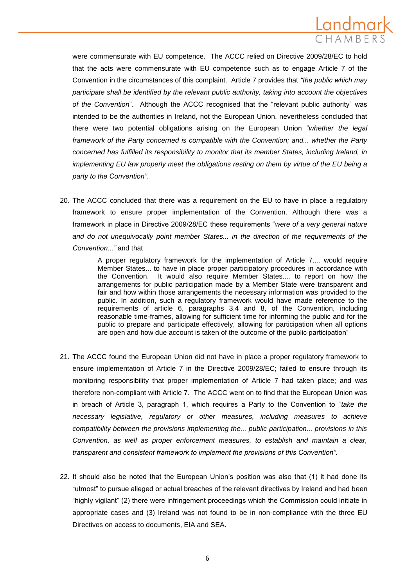

were commensurate with EU competence. The ACCC relied on Directive 2009/28/EC to hold that the acts were commensurate with EU competence such as to engage Article 7 of the Convention in the circumstances of this complaint. Article 7 provides that *"the public which may participate shall be identified by the relevant public authority, taking into account the objectives of the Convention*". Although the ACCC recognised that the "relevant public authority" was intended to be the authorities in Ireland, not the European Union, nevertheless concluded that there were two potential obligations arising on the European Union "*whether the legal framework of the Party concerned is compatible with the Convention; and... whether the Party concerned has fulfilled its responsibility to monitor that its member States, including Ireland, in implementing EU law properly meet the obligations resting on them by virtue of the EU being a party to the Convention"*.

20. The ACCC concluded that there was a requirement on the EU to have in place a regulatory framework to ensure proper implementation of the Convention. Although there was a framework in place in Directive 2009/28/EC these requirements "*were of a very general nature and do not unequivocally point member States... in the direction of the requirements of the Convention..."* and that

> A proper regulatory framework for the implementation of Article 7.... would require Member States... to have in place proper participatory procedures in accordance with the Convention. It would also require Member States.... to report on how the arrangements for public participation made by a Member State were transparent and fair and how within those arrangements the necessary information was provided to the public. In addition, such a regulatory framework would have made reference to the requirements of article 6, paragraphs 3,4 and 8, of the Convention, including reasonable time-frames, allowing for sufficient time for informing the public and for the public to prepare and participate effectively, allowing for participation when all options are open and how due account is taken of the outcome of the public participation"

- 21. The ACCC found the European Union did not have in place a proper regulatory framework to ensure implementation of Article 7 in the Directive 2009/28/EC; failed to ensure through its monitoring responsibility that proper implementation of Article 7 had taken place; and was therefore non-compliant with Article 7. The ACCC went on to find that the European Union was in breach of Article 3, paragraph 1, which requires a Party to the Convention to "*take the necessary legislative, regulatory or other measures, including measures to achieve compatibility between the provisions implementing the... public participation... provisions in this Convention, as well as proper enforcement measures, to establish and maintain a clear, transparent and consistent framework to implement the provisions of this Convention".*
- 22. It should also be noted that the European Union's position was also that (1) it had done its "utmost" to pursue alleged or actual breaches of the relevant directives by Ireland and had been "highly vigilant" (2) there were infringement proceedings which the Commission could initiate in appropriate cases and (3) Ireland was not found to be in non-compliance with the three EU Directives on access to documents, EIA and SEA.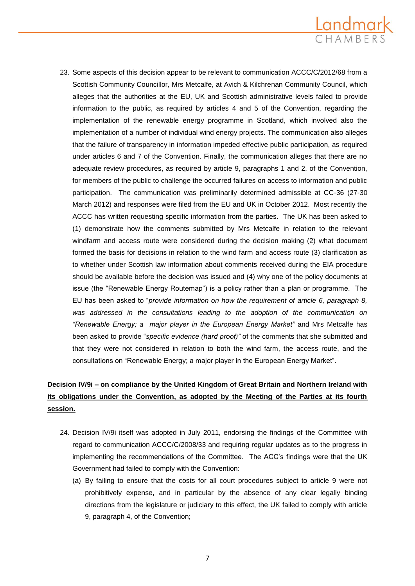

23. Some aspects of this decision appear to be relevant to communication ACCC/C/2012/68 from a Scottish Community Councillor, Mrs Metcalfe, at Avich & Kilchrenan Community Council, which alleges that the authorities at the EU, UK and Scottish administrative levels failed to provide information to the public, as required by articles 4 and 5 of the Convention, regarding the implementation of the renewable energy programme in Scotland, which involved also the implementation of a number of individual wind energy projects. The communication also alleges that the failure of transparency in information impeded effective public participation, as required under articles 6 and 7 of the Convention. Finally, the communication alleges that there are no adequate review procedures, as required by article 9, paragraphs 1 and 2, of the Convention, for members of the public to challenge the occurred failures on access to information and public participation. The communication was preliminarily determined admissible at CC-36 (27-30 March 2012) and responses were filed from the EU and UK in October 2012. Most recently the ACCC has written requesting specific information from the parties. The UK has been asked to (1) demonstrate how the comments submitted by Mrs Metcalfe in relation to the relevant windfarm and access route were considered during the decision making (2) what document formed the basis for decisions in relation to the wind farm and access route (3) clarification as to whether under Scottish law information about comments received during the EIA procedure should be available before the decision was issued and (4) why one of the policy documents at issue (the "Renewable Energy Routemap") is a policy rather than a plan or programme. The EU has been asked to "*provide information on how the requirement of article 6, paragraph 8, was addressed in the consultations leading to the adoption of the communication on "Renewable Energy; a major player in the European Energy Market"* and Mrs Metcalfe has been asked to provide "*specific evidence (hard proof)"* of the comments that she submitted and that they were not considered in relation to both the wind farm, the access route, and the consultations on "Renewable Energy; a major player in the European Energy Market".

### **Decision IV/9i – on compliance by the United Kingdom of Great Britain and Northern Ireland with its obligations under the Convention, as adopted by the Meeting of the Parties at its fourth session.**

- 24. Decision IV/9i itself was adopted in July 2011, endorsing the findings of the Committee with regard to communication ACCC/C/2008/33 and requiring regular updates as to the progress in implementing the recommendations of the Committee. The ACC's findings were that the UK Government had failed to comply with the Convention:
	- (a) By failing to ensure that the costs for all court procedures subject to article 9 were not prohibitively expense, and in particular by the absence of any clear legally binding directions from the legislature or judiciary to this effect, the UK failed to comply with article 9, paragraph 4, of the Convention;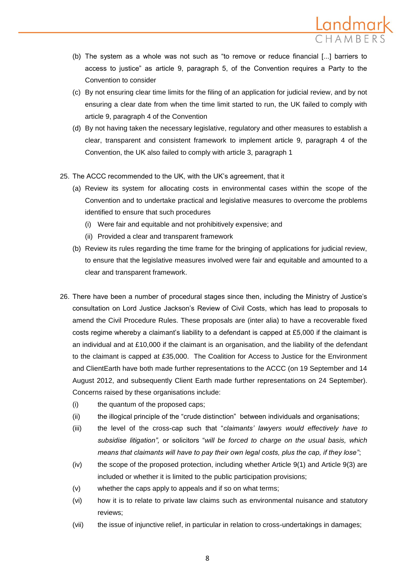

- (b) The system as a whole was not such as "to remove or reduce financial [...] barriers to access to justice" as article 9, paragraph 5, of the Convention requires a Party to the Convention to consider
- (c) By not ensuring clear time limits for the filing of an application for judicial review, and by not ensuring a clear date from when the time limit started to run, the UK failed to comply with article 9, paragraph 4 of the Convention
- (d) By not having taken the necessary legislative, regulatory and other measures to establish a clear, transparent and consistent framework to implement article 9, paragraph 4 of the Convention, the UK also failed to comply with article 3, paragraph 1
- 25. The ACCC recommended to the UK, with the UK's agreement, that it
	- (a) Review its system for allocating costs in environmental cases within the scope of the Convention and to undertake practical and legislative measures to overcome the problems identified to ensure that such procedures
		- (i) Were fair and equitable and not prohibitively expensive; and
		- (ii) Provided a clear and transparent framework
	- (b) Review its rules regarding the time frame for the bringing of applications for judicial review, to ensure that the legislative measures involved were fair and equitable and amounted to a clear and transparent framework.
- 26. There have been a number of procedural stages since then, including the Ministry of Justice's consultation on Lord Justice Jackson's Review of Civil Costs, which has lead to proposals to amend the Civil Procedure Rules. These proposals are (inter alia) to have a recoverable fixed costs regime whereby a claimant's liability to a defendant is capped at £5,000 if the claimant is an individual and at £10,000 if the claimant is an organisation, and the liability of the defendant to the claimant is capped at £35,000. The Coalition for Access to Justice for the Environment and ClientEarth have both made further representations to the ACCC (on 19 September and 14 August 2012, and subsequently Client Earth made further representations on 24 September). Concerns raised by these organisations include:
	- (i) the quantum of the proposed caps;
	- (ii) the illogical principle of the "crude distinction" between individuals and organisations;
	- (iii) the level of the cross-cap such that "*claimants' lawyers would effectively have to subsidise litigation",* or solicitors "*will be forced to charge on the usual basis, which means that claimants will have to pay their own legal costs, plus the cap, if they lose"*;
	- (iv) the scope of the proposed protection, including whether Article 9(1) and Article 9(3) are included or whether it is limited to the public participation provisions;
	- (v) whether the caps apply to appeals and if so on what terms;
	- (vi) how it is to relate to private law claims such as environmental nuisance and statutory reviews;
	- (vii) the issue of injunctive relief, in particular in relation to cross-undertakings in damages;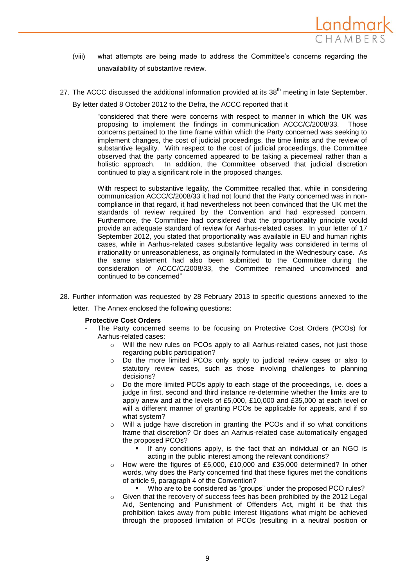

- (viii) what attempts are being made to address the Committee's concerns regarding the unavailability of substantive review.
- 27. The ACCC discussed the additional information provided at its 38<sup>th</sup> meeting in late September.

By letter dated 8 October 2012 to the Defra, the ACCC reported that it

"considered that there were concerns with respect to manner in which the UK was proposing to implement the findings in communication ACCC/C/2008/33. Those concerns pertained to the time frame within which the Party concerned was seeking to implement changes, the cost of judicial proceedings, the time limits and the review of substantive legality. With respect to the cost of judicial proceedings, the Committee observed that the party concerned appeared to be taking a piecemeal rather than a holistic approach. In addition, the Committee observed that judicial discretion continued to play a significant role in the proposed changes.

With respect to substantive legality, the Committee recalled that, while in considering communication ACCC/C/2008/33 it had not found that the Party concerned was in noncompliance in that regard, it had nevertheless not been convinced that the UK met the standards of review required by the Convention and had expressed concern. Furthermore, the Committee had considered that the proportionality principle would provide an adequate standard of review for Aarhus-related cases. In your letter of 17 September 2012, you stated that proportionality was available in EU and human rights cases, while in Aarhus-related cases substantive legality was considered in terms of irrationality or unreasonableness, as originally formulated in the Wednesbury case. As the same statement had also been submitted to the Committee during the consideration of ACCC/C/2008/33, the Committee remained unconvinced and continued to be concerned"

28. Further information was requested by 28 February 2013 to specific questions annexed to the

letter. The Annex enclosed the following questions:

#### **Protective Cost Orders**

- The Party concerned seems to be focusing on Protective Cost Orders (PCOs) for Aarhus-related cases:
	- o Will the new rules on PCOs apply to all Aarhus-related cases, not just those regarding public participation?
	- o Do the more limited PCOs only apply to judicial review cases or also to statutory review cases, such as those involving challenges to planning decisions?
	- Do the more limited PCOs apply to each stage of the proceedings, i.e. does a judge in first, second and third instance re-determine whether the limits are to apply anew and at the levels of £5,000, £10,000 and £35,000 at each level or will a different manner of granting PCOs be applicable for appeals, and if so what system?
	- o Will a judge have discretion in granting the PCOs and if so what conditions frame that discretion? Or does an Aarhus-related case automatically engaged the proposed PCOs?
		- If any conditions apply, is the fact that an individual or an NGO is acting in the public interest among the relevant conditions?
	- How were the figures of £5,000, £10,000 and £35,000 determined? In other words, why does the Party concerned find that these figures met the conditions of article 9, paragraph 4 of the Convention?
	- Who are to be considered as "groups" under the proposed PCO rules? o Given that the recovery of success fees has been prohibited by the 2012 Legal Aid, Sentencing and Punishment of Offenders Act, might it be that this prohibition takes away from public interest litigations what might be achieved through the proposed limitation of PCOs (resulting in a neutral position or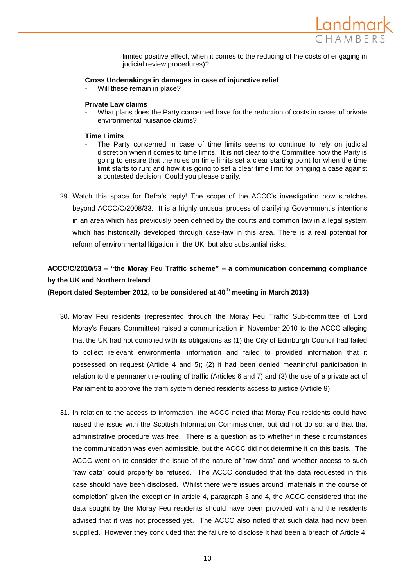

limited positive effect, when it comes to the reducing of the costs of engaging in judicial review procedures)?

#### **Cross Undertakings in damages in case of injunctive relief**

Will these remain in place?

#### **Private Law claims**

What plans does the Party concerned have for the reduction of costs in cases of private environmental nuisance claims?

#### **Time Limits**

- The Party concerned in case of time limits seems to continue to rely on judicial discretion when it comes to time limits. It is not clear to the Committee how the Party is going to ensure that the rules on time limits set a clear starting point for when the time limit starts to run; and how it is going to set a clear time limit for bringing a case against a contested decision. Could you please clarify.
- 29. Watch this space for Defra's reply! The scope of the ACCC's investigation now stretches beyond ACCC/C/2008/33. It is a highly unusual process of clarifying Government's intentions in an area which has previously been defined by the courts and common law in a legal system which has historically developed through case-law in this area. There is a real potential for reform of environmental litigation in the UK, but also substantial risks.

### **ACCC/C/2010/53 – "the Moray Feu Traffic scheme" – a communication concerning compliance by the UK and Northern Ireland**

**(Report dated September 2012, to be considered at 40th meeting in March 2013)**

- 30. Moray Feu residents (represented through the Moray Feu Traffic Sub-committee of Lord Moray's Feuars Committee) raised a communication in November 2010 to the ACCC alleging that the UK had not complied with its obligations as (1) the City of Edinburgh Council had failed to collect relevant environmental information and failed to provided information that it possessed on request (Article 4 and 5); (2) it had been denied meaningful participation in relation to the permanent re-routing of traffic (Articles 6 and 7) and (3) the use of a private act of Parliament to approve the tram system denied residents access to justice (Article 9)
- 31. In relation to the access to information, the ACCC noted that Moray Feu residents could have raised the issue with the Scottish Information Commissioner, but did not do so; and that that administrative procedure was free. There is a question as to whether in these circumstances the communication was even admissible, but the ACCC did not determine it on this basis. The ACCC went on to consider the issue of the nature of "raw data" and whether access to such "raw data" could properly be refused. The ACCC concluded that the data requested in this case should have been disclosed. Whilst there were issues around "materials in the course of completion" given the exception in article 4, paragraph 3 and 4, the ACCC considered that the data sought by the Moray Feu residents should have been provided with and the residents advised that it was not processed yet. The ACCC also noted that such data had now been supplied. However they concluded that the failure to disclose it had been a breach of Article 4,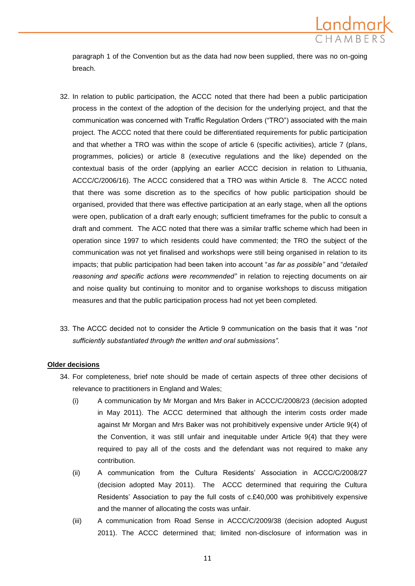

paragraph 1 of the Convention but as the data had now been supplied, there was no on-going breach.

- 32. In relation to public participation, the ACCC noted that there had been a public participation process in the context of the adoption of the decision for the underlying project, and that the communication was concerned with Traffic Regulation Orders ("TRO") associated with the main project. The ACCC noted that there could be differentiated requirements for public participation and that whether a TRO was within the scope of article 6 (specific activities), article 7 (plans, programmes, policies) or article 8 (executive regulations and the like) depended on the contextual basis of the order (applying an earlier ACCC decision in relation to Lithuania, ACCC/C/2006/16). The ACCC considered that a TRO was within Article 8. The ACCC noted that there was some discretion as to the specifics of how public participation should be organised, provided that there was effective participation at an early stage, when all the options were open, publication of a draft early enough; sufficient timeframes for the public to consult a draft and comment. The ACC noted that there was a similar traffic scheme which had been in operation since 1997 to which residents could have commented; the TRO the subject of the communication was not yet finalised and workshops were still being organised in relation to its impacts; that public participation had been taken into account "*as far as possible"* and "*detailed reasoning and specific actions were recommended"* in relation to rejecting documents on air and noise quality but continuing to monitor and to organise workshops to discuss mitigation measures and that the public participation process had not yet been completed.
- 33. The ACCC decided not to consider the Article 9 communication on the basis that it was "*not sufficiently substantiated through the written and oral submissions".*

#### **Older decisions**

- 34. For completeness, brief note should be made of certain aspects of three other decisions of relevance to practitioners in England and Wales;
	- (i) A communication by Mr Morgan and Mrs Baker in ACCC/C/2008/23 (decision adopted in May 2011). The ACCC determined that although the interim costs order made against Mr Morgan and Mrs Baker was not prohibitively expensive under Article 9(4) of the Convention, it was still unfair and inequitable under Article 9(4) that they were required to pay all of the costs and the defendant was not required to make any contribution.
	- (ii) A communication from the Cultura Residents' Association in ACCC/C/2008/27 (decision adopted May 2011). The ACCC determined that requiring the Cultura Residents' Association to pay the full costs of c.£40,000 was prohibitively expensive and the manner of allocating the costs was unfair.
	- (iii) A communication from Road Sense in ACCC/C/2009/38 (decision adopted August 2011). The ACCC determined that; limited non-disclosure of information was in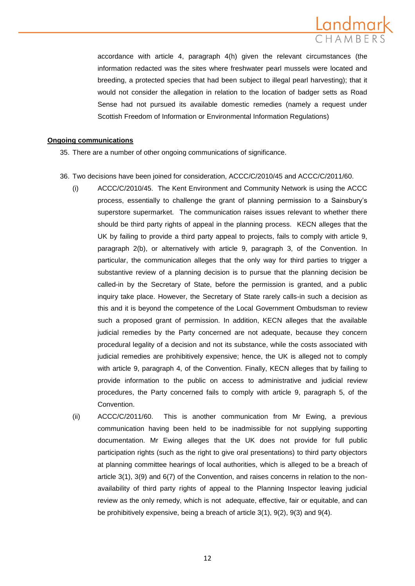

accordance with article 4, paragraph 4(h) given the relevant circumstances (the information redacted was the sites where freshwater pearl mussels were located and breeding, a protected species that had been subject to illegal pearl harvesting); that it would not consider the allegation in relation to the location of badger setts as Road Sense had not pursued its available domestic remedies (namely a request under Scottish Freedom of Information or Environmental Information Regulations)

#### **Ongoing communications**

- 35. There are a number of other ongoing communications of significance.
- 36. Two decisions have been joined for consideration, ACCC/C/2010/45 and ACCC/C/2011/60.
	- (i) ACCC/C/2010/45. The Kent Environment and Community Network is using the ACCC process, essentially to challenge the grant of planning permission to a Sainsbury's superstore supermarket. The communication raises issues relevant to whether there should be third party rights of appeal in the planning process. KECN alleges that the UK by failing to provide a third party appeal to projects, fails to comply with article 9, paragraph 2(b), or alternatively with article 9, paragraph 3, of the Convention. In particular, the communication alleges that the only way for third parties to trigger a substantive review of a planning decision is to pursue that the planning decision be called-in by the Secretary of State, before the permission is granted, and a public inquiry take place. However, the Secretary of State rarely calls-in such a decision as this and it is beyond the competence of the Local Government Ombudsman to review such a proposed grant of permission. In addition, KECN alleges that the available judicial remedies by the Party concerned are not adequate, because they concern procedural legality of a decision and not its substance, while the costs associated with judicial remedies are prohibitively expensive; hence, the UK is alleged not to comply with article 9, paragraph 4, of the Convention. Finally, KECN alleges that by failing to provide information to the public on access to administrative and judicial review procedures, the Party concerned fails to comply with article 9, paragraph 5, of the Convention.
	- (ii) ACCC/C/2011/60. This is another communication from Mr Ewing, a previous communication having been held to be inadmissible for not supplying supporting documentation. Mr Ewing alleges that the UK does not provide for full public participation rights (such as the right to give oral presentations) to third party objectors at planning committee hearings of local authorities, which is alleged to be a breach of article 3(1), 3(9) and 6(7) of the Convention, and raises concerns in relation to the nonavailability of third party rights of appeal to the Planning Inspector leaving judicial review as the only remedy, which is not adequate, effective, fair or equitable, and can be prohibitively expensive, being a breach of article 3(1), 9(2), 9(3) and 9(4).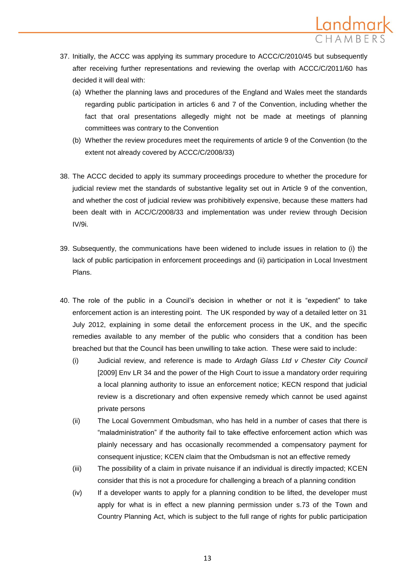

- 37. Initially, the ACCC was applying its summary procedure to ACCC/C/2010/45 but subsequently after receiving further representations and reviewing the overlap with ACCC/C/2011/60 has decided it will deal with:
	- (a) Whether the planning laws and procedures of the England and Wales meet the standards regarding public participation in articles 6 and 7 of the Convention, including whether the fact that oral presentations allegedly might not be made at meetings of planning committees was contrary to the Convention
	- (b) Whether the review procedures meet the requirements of article 9 of the Convention (to the extent not already covered by ACCC/C/2008/33)
- 38. The ACCC decided to apply its summary proceedings procedure to whether the procedure for judicial review met the standards of substantive legality set out in Article 9 of the convention, and whether the cost of judicial review was prohibitively expensive, because these matters had been dealt with in ACC/C/2008/33 and implementation was under review through Decision IV/9i.
- 39. Subsequently, the communications have been widened to include issues in relation to (i) the lack of public participation in enforcement proceedings and (ii) participation in Local Investment Plans.
- 40. The role of the public in a Council's decision in whether or not it is "expedient" to take enforcement action is an interesting point. The UK responded by way of a detailed letter on 31 July 2012, explaining in some detail the enforcement process in the UK, and the specific remedies available to any member of the public who considers that a condition has been breached but that the Council has been unwilling to take action. These were said to include:
	- (i) Judicial review, and reference is made to *Ardagh Glass Ltd v Chester City Council*  [2009] Env LR 34 and the power of the High Court to issue a mandatory order requiring a local planning authority to issue an enforcement notice; KECN respond that judicial review is a discretionary and often expensive remedy which cannot be used against private persons
	- (ii) The Local Government Ombudsman, who has held in a number of cases that there is "maladministration" if the authority fail to take effective enforcement action which was plainly necessary and has occasionally recommended a compensatory payment for consequent injustice; KCEN claim that the Ombudsman is not an effective remedy
	- (iii) The possibility of a claim in private nuisance if an individual is directly impacted; KCEN consider that this is not a procedure for challenging a breach of a planning condition
	- (iv) If a developer wants to apply for a planning condition to be lifted, the developer must apply for what is in effect a new planning permission under s.73 of the Town and Country Planning Act, which is subject to the full range of rights for public participation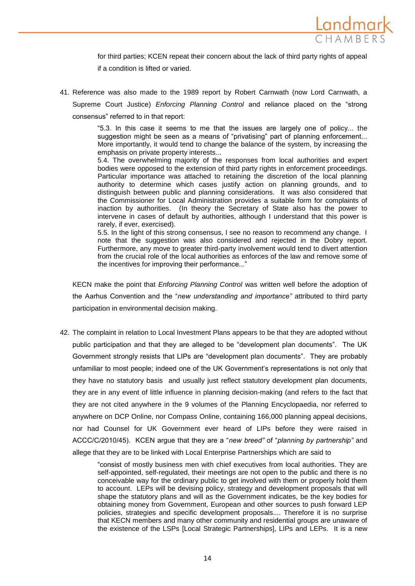

for third parties; KCEN repeat their concern about the lack of third party rights of appeal if a condition is lifted or varied.

41. Reference was also made to the 1989 report by Robert Carnwath (now Lord Carnwath, a Supreme Court Justice) *Enforcing Planning Control* and reliance placed on the "strong consensus" referred to in that report:

> "5.3. In this case it seems to me that the issues are largely one of policy... the suggestion might be seen as a means of "privatising" part of planning enforcement... More importantly, it would tend to change the balance of the system, by increasing the emphasis on private property interests...

> 5.4. The overwhelming majority of the responses from local authorities and expert bodies were opposed to the extension of third party rights in enforcement proceedings. Particular importance was attached to retaining the discretion of the local planning authority to determine which cases justify action on planning grounds, and to distinguish between public and planning considerations. It was also considered that the Commissioner for Local Administration provides a suitable form for complaints of inaction by authorities. (In theory the Secretary of State also has the power to intervene in cases of default by authorities, although I understand that this power is rarely, if ever, exercised).

> 5.5. In the light of this strong consensus, I see no reason to recommend any change. I note that the suggestion was also considered and rejected in the Dobry report. Furthermore, any move to greater third-party involvement would tend to divert attention from the crucial role of the local authorities as enforces of the law and remove some of the incentives for improving their performance..."

KECN make the point that *Enforcing Planning Control* was written well before the adoption of the Aarhus Convention and the "*new understanding and importance"* attributed to third party participation in environmental decision making.

42. The complaint in relation to Local Investment Plans appears to be that they are adopted without public participation and that they are alleged to be "development plan documents". The UK Government strongly resists that LIPs are "development plan documents". They are probably unfamiliar to most people; indeed one of the UK Government's representations is not only that they have no statutory basis and usually just reflect statutory development plan documents, they are in any event of little influence in planning decision-making (and refers to the fact that they are not cited anywhere in the 9 volumes of the Planning Encyclopaedia, nor referred to anywhere on DCP Online, nor Compass Online, containing 166,000 planning appeal decisions, nor had Counsel for UK Government ever heard of LIPs before they were raised in ACCC/C/2010/45). KCEN argue that they are a "*new breed"* of "*planning by partnership"* and allege that they are to be linked with Local Enterprise Partnerships which are said to

> "consist of mostly business men with chief executives from local authorities. They are self-appointed, self-regulated, their meetings are not open to the public and there is no conceivable way for the ordinary public to get involved with them or properly hold them to account. LEPs will be devising policy, strategy and development proposals that will shape the statutory plans and will as the Government indicates, be the key bodies for obtaining money from Government, European and other sources to push forward LEP policies, strategies and specific development proposals.... Therefore it is no surprise that KECN members and many other community and residential groups are unaware of the existence of the LSPs [Local Strategic Partnerships], LIPs and LEPs*.* It is a new